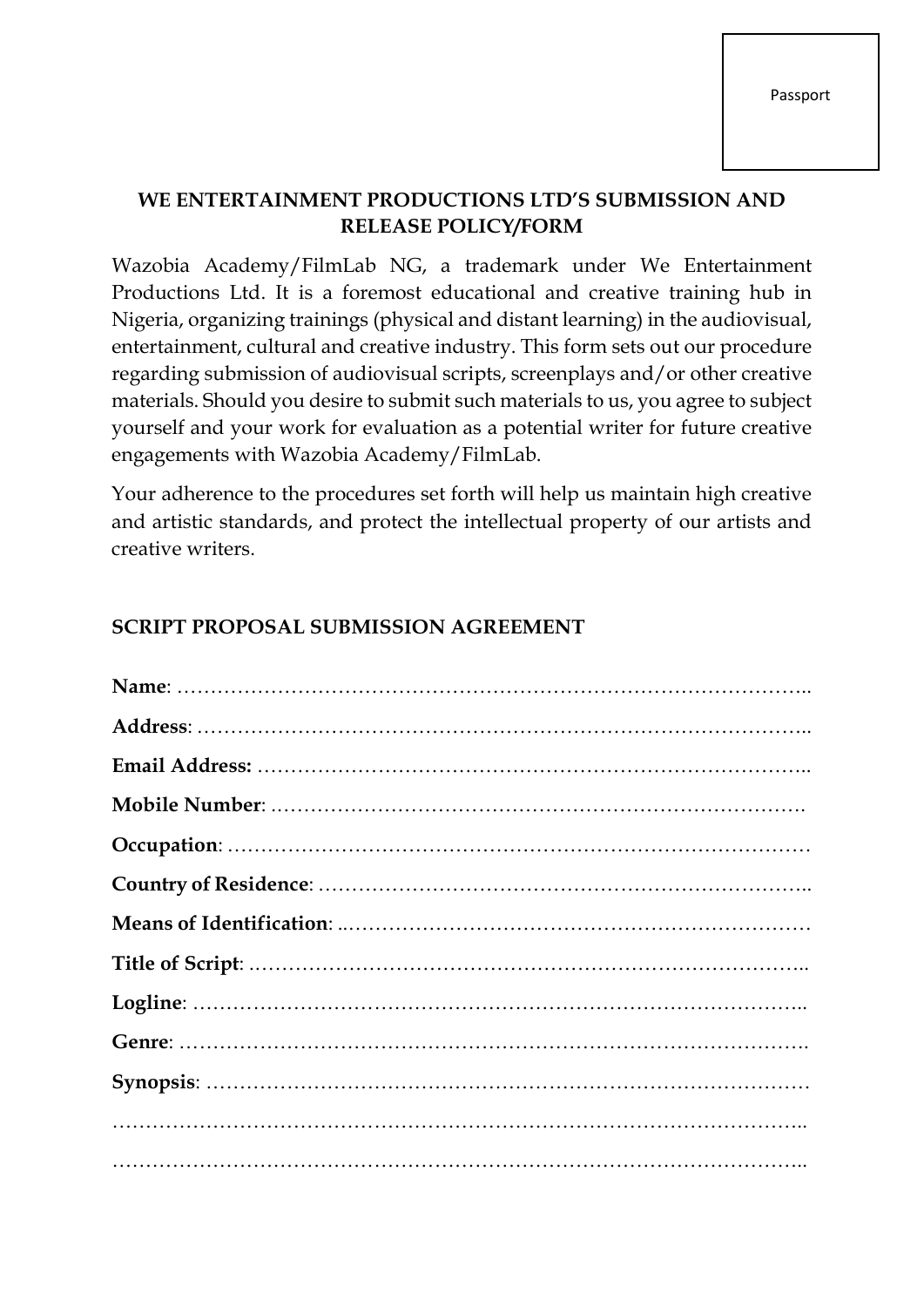## **WE ENTERTAINMENT PRODUCTIONS LTD'S SUBMISSION AND RELEASE POLICY/FORM**

Wazobia Academy/FilmLab NG, a trademark under We Entertainment Productions Ltd. It is a foremost educational and creative training hub in Nigeria, organizing trainings (physical and distant learning) in the audiovisual, entertainment, cultural and creative industry. This form sets out our procedure regarding submission of audiovisual scripts, screenplays and/or other creative materials. Should you desire to submit such materials to us, you agree to subject yourself and your work for evaluation as a potential writer for future creative engagements with Wazobia Academy/FilmLab.

Your adherence to the procedures set forth will help us maintain high creative and artistic standards, and protect the intellectual property of our artists and creative writers.

## **SCRIPT PROPOSAL SUBMISSION AGREEMENT**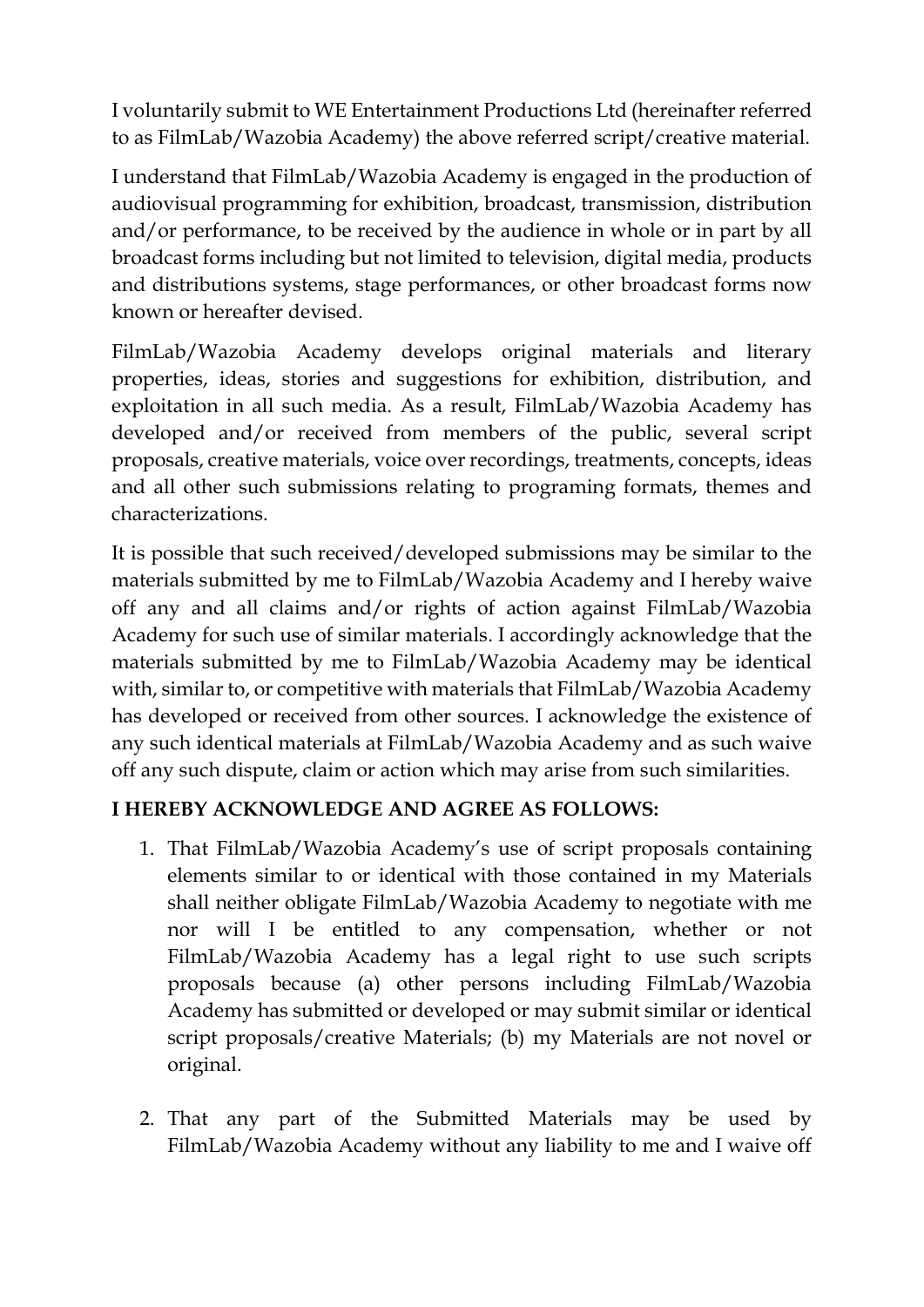I voluntarily submit to WE Entertainment Productions Ltd (hereinafter referred to as FilmLab/Wazobia Academy) the above referred script/creative material.

I understand that FilmLab/Wazobia Academy is engaged in the production of audiovisual programming for exhibition, broadcast, transmission, distribution and/or performance, to be received by the audience in whole or in part by all broadcast forms including but not limited to television, digital media, products and distributions systems, stage performances, or other broadcast forms now known or hereafter devised.

FilmLab/Wazobia Academy develops original materials and literary properties, ideas, stories and suggestions for exhibition, distribution, and exploitation in all such media. As a result, FilmLab/Wazobia Academy has developed and/or received from members of the public, several script proposals, creative materials, voice over recordings, treatments, concepts, ideas and all other such submissions relating to programing formats, themes and characterizations.

It is possible that such received/developed submissions may be similar to the materials submitted by me to FilmLab/Wazobia Academy and I hereby waive off any and all claims and/or rights of action against FilmLab/Wazobia Academy for such use of similar materials. I accordingly acknowledge that the materials submitted by me to FilmLab/Wazobia Academy may be identical with, similar to, or competitive with materials that FilmLab/Wazobia Academy has developed or received from other sources. I acknowledge the existence of any such identical materials at FilmLab/Wazobia Academy and as such waive off any such dispute, claim or action which may arise from such similarities.

## **I HEREBY ACKNOWLEDGE AND AGREE AS FOLLOWS:**

- 1. That FilmLab/Wazobia Academy's use of script proposals containing elements similar to or identical with those contained in my Materials shall neither obligate FilmLab/Wazobia Academy to negotiate with me nor will I be entitled to any compensation, whether or not FilmLab/Wazobia Academy has a legal right to use such scripts proposals because (a) other persons including FilmLab/Wazobia Academy has submitted or developed or may submit similar or identical script proposals/creative Materials; (b) my Materials are not novel or original.
- 2. That any part of the Submitted Materials may be used by FilmLab/Wazobia Academy without any liability to me and I waive off